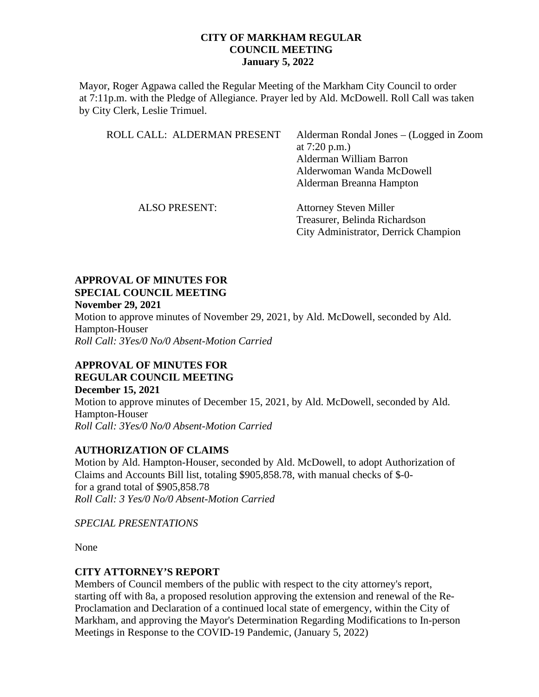Mayor, Roger Agpawa called the Regular Meeting of the Markham City Council to order at 7:11p.m. with the Pledge of Allegiance. Prayer led by Ald. McDowell. Roll Call was taken by City Clerk, Leslie Trimuel.

| ROLL CALL: ALDERMAN PRESENT | Alderman Rondal Jones – (Logged in Zoom<br>at $7:20 \text{ p.m.}$<br>Alderman William Barron<br>Alderwoman Wanda McDowell<br>Alderman Breanna Hampton |
|-----------------------------|-------------------------------------------------------------------------------------------------------------------------------------------------------|
| <b>ALSO PRESENT:</b>        | <b>Attorney Steven Miller</b><br>Treasurer, Belinda Richardson                                                                                        |
|                             | City Administrator, Derrick Champion                                                                                                                  |

### **APPROVAL OF MINUTES FOR SPECIAL COUNCIL MEETING November 29, 2021**

Motion to approve minutes of November 29, 2021, by Ald. McDowell, seconded by Ald. Hampton-Houser *Roll Call: 3Yes/0 No/0 Absent-Motion Carried*

# **APPROVAL OF MINUTES FOR REGULAR COUNCIL MEETING**

**December 15, 2021** Motion to approve minutes of December 15, 2021, by Ald. McDowell, seconded by Ald. Hampton-Houser *Roll Call: 3Yes/0 No/0 Absent-Motion Carried*

# **AUTHORIZATION OF CLAIMS**

Motion by Ald. Hampton-Houser, seconded by Ald. McDowell, to adopt Authorization of Claims and Accounts Bill list, totaling \$905,858.78, with manual checks of \$-0 for a grand total of \$905,858.78 *Roll Call: 3 Yes/0 No/0 Absent-Motion Carried*

*SPECIAL PRESENTATIONS*

None

## **CITY ATTORNEY'S REPORT**

Members of Council members of the public with respect to the city attorney's report, starting off with 8a, a proposed resolution approving the extension and renewal of the Re-Proclamation and Declaration of a continued local state of emergency, within the City of Markham, and approving the Mayor's Determination Regarding Modifications to In-person Meetings in Response to the COVID-19 Pandemic, (January 5, 2022)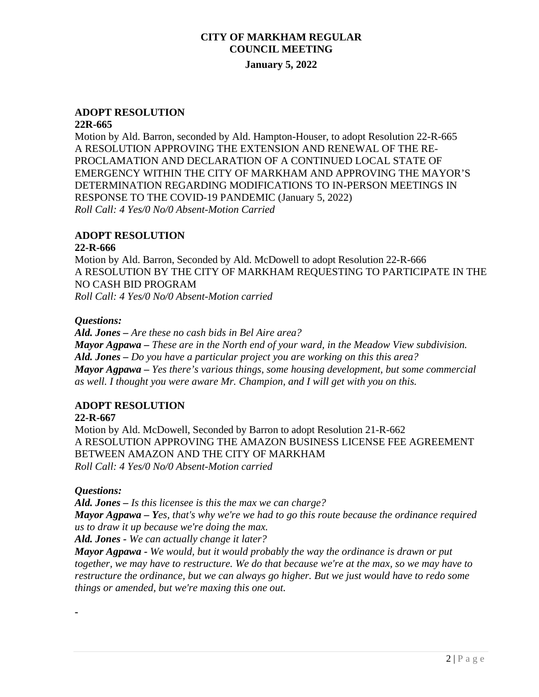# **ADOPT RESOLUTION**

#### **22R-665**

Motion by Ald. Barron, seconded by Ald. Hampton-Houser, to adopt Resolution 22-R-665 A RESOLUTION APPROVING THE EXTENSION AND RENEWAL OF THE RE-PROCLAMATION AND DECLARATION OF A CONTINUED LOCAL STATE OF EMERGENCY WITHIN THE CITY OF MARKHAM AND APPROVING THE MAYOR'S DETERMINATION REGARDING MODIFICATIONS TO IN-PERSON MEETINGS IN RESPONSE TO THE COVID-19 PANDEMIC (January 5, 2022) *Roll Call: 4 Yes/0 No/0 Absent-Motion Carried*

### **ADOPT RESOLUTION**

### **22-R-666**

Motion by Ald. Barron, Seconded by Ald. McDowell to adopt Resolution 22-R-666 A RESOLUTION BY THE CITY OF MARKHAM REQUESTING TO PARTICIPATE IN THE NO CASH BID PROGRAM *Roll Call: 4 Yes/0 No/0 Absent-Motion carried*

### *Questions:*

*Ald. Jones – Are these no cash bids in Bel Aire area? Mayor Agpawa – These are in the North end of your ward, in the Meadow View subdivision. Ald. Jones – Do you have a particular project you are working on this this area? Mayor Agpawa – Yes there's various things, some housing development, but some commercial as well. I thought you were aware Mr. Champion, and I will get with you on this.*

## **ADOPT RESOLUTION**

### **22-R-667**

Motion by Ald. McDowell, Seconded by Barron to adopt Resolution 21-R-662 A RESOLUTION APPROVING THE AMAZON BUSINESS LICENSE FEE AGREEMENT BETWEEN AMAZON AND THE CITY OF MARKHAM *Roll Call: 4 Yes/0 No/0 Absent-Motion carried*

## *Questions:*

**-**

*Ald. Jones – Is this licensee is this the max we can charge? Mayor Agpawa – Yes, that's why we're we had to go this route because the ordinance required us to draw it up because we're doing the max.*

*Ald. Jones - We can actually change it later?*

*Mayor Agpawa - We would, but it would probably the way the ordinance is drawn or put together, we may have to restructure. We do that because we're at the max, so we may have to restructure the ordinance, but we can always go higher. But we just would have to redo some things or amended, but we're maxing this one out.*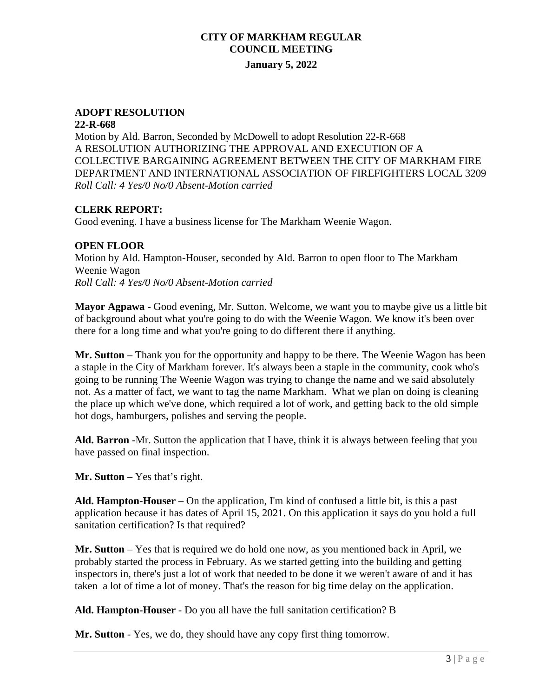## **ADOPT RESOLUTION**

#### **22-R-668**

Motion by Ald. Barron, Seconded by McDowell to adopt Resolution 22-R-668 A RESOLUTION AUTHORIZING THE APPROVAL AND EXECUTION OF A COLLECTIVE BARGAINING AGREEMENT BETWEEN THE CITY OF MARKHAM FIRE DEPARTMENT AND INTERNATIONAL ASSOCIATION OF FIREFIGHTERS LOCAL 3209 *Roll Call: 4 Yes/0 No/0 Absent-Motion carried*

## **CLERK REPORT:**

Good evening. I have a business license for The Markham Weenie Wagon.

## **OPEN FLOOR**

Motion by Ald. Hampton-Houser, seconded by Ald. Barron to open floor to The Markham Weenie Wagon *Roll Call: 4 Yes/0 No/0 Absent-Motion carried*

**Mayor Agpawa** - Good evening, Mr. Sutton. Welcome, we want you to maybe give us a little bit of background about what you're going to do with the Weenie Wagon. We know it's been over there for a long time and what you're going to do different there if anything.

**Mr. Sutton** – Thank you for the opportunity and happy to be there. The Weenie Wagon has been a staple in the City of Markham forever. It's always been a staple in the community, cook who's going to be running The Weenie Wagon was trying to change the name and we said absolutely not. As a matter of fact, we want to tag the name Markham. What we plan on doing is cleaning the place up which we've done, which required a lot of work, and getting back to the old simple hot dogs, hamburgers, polishes and serving the people.

**Ald. Barron** -Mr. Sutton the application that I have, think it is always between feeling that you have passed on final inspection.

**Mr. Sutton** – Yes that's right.

**Ald. Hampton-Houser** – On the application, I'm kind of confused a little bit, is this a past application because it has dates of April 15, 2021. On this application it says do you hold a full sanitation certification? Is that required?

**Mr. Sutton** – Yes that is required we do hold one now, as you mentioned back in April, we probably started the process in February. As we started getting into the building and getting inspectors in, there's just a lot of work that needed to be done it we weren't aware of and it has taken a lot of time a lot of money. That's the reason for big time delay on the application.

**Ald. Hampton-Houser** - Do you all have the full sanitation certification? B

**Mr. Sutton** - Yes, we do, they should have any copy first thing tomorrow.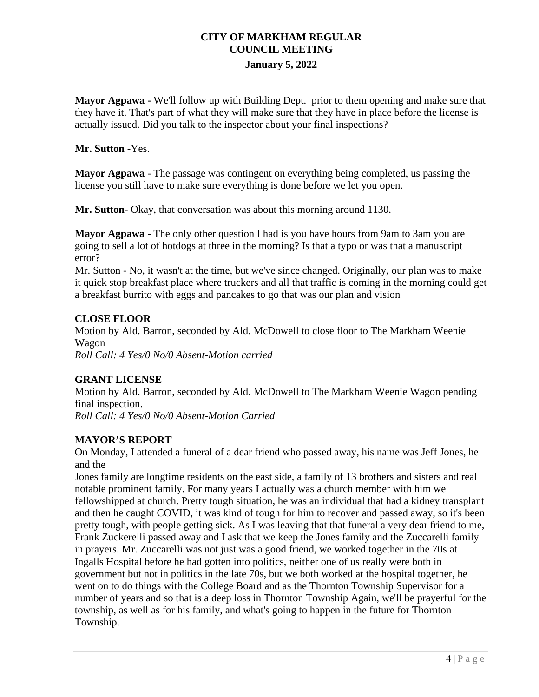**Mayor Agpawa -** We'll follow up with Building Dept. prior to them opening and make sure that they have it. That's part of what they will make sure that they have in place before the license is actually issued. Did you talk to the inspector about your final inspections?

## **Mr. Sutton** -Yes.

**Mayor Agpawa** - The passage was contingent on everything being completed, us passing the license you still have to make sure everything is done before we let you open.

**Mr. Sutton**- Okay, that conversation was about this morning around 1130.

**Mayor Agpawa -** The only other question I had is you have hours from 9am to 3am you are going to sell a lot of hotdogs at three in the morning? Is that a typo or was that a manuscript error?

Mr. Sutton - No, it wasn't at the time, but we've since changed. Originally, our plan was to make it quick stop breakfast place where truckers and all that traffic is coming in the morning could get a breakfast burrito with eggs and pancakes to go that was our plan and vision

## **CLOSE FLOOR**

Motion by Ald. Barron, seconded by Ald. McDowell to close floor to The Markham Weenie Wagon *Roll Call: 4 Yes/0 No/0 Absent-Motion carried*

## **GRANT LICENSE**

Motion by Ald. Barron, seconded by Ald. McDowell to The Markham Weenie Wagon pending final inspection. *Roll Call: 4 Yes/0 No/0 Absent-Motion Carried* 

## **MAYOR'S REPORT**

On Monday, I attended a funeral of a dear friend who passed away, his name was Jeff Jones, he and the

Jones family are longtime residents on the east side, a family of 13 brothers and sisters and real notable prominent family. For many years I actually was a church member with him we fellowshipped at church. Pretty tough situation, he was an individual that had a kidney transplant and then he caught COVID, it was kind of tough for him to recover and passed away, so it's been pretty tough, with people getting sick. As I was leaving that that funeral a very dear friend to me, Frank Zuckerelli passed away and I ask that we keep the Jones family and the Zuccarelli family in prayers. Mr. Zuccarelli was not just was a good friend, we worked together in the 70s at Ingalls Hospital before he had gotten into politics, neither one of us really were both in government but not in politics in the late 70s, but we both worked at the hospital together, he went on to do things with the College Board and as the Thornton Township Supervisor for a number of years and so that is a deep loss in Thornton Township Again, we'll be prayerful for the township, as well as for his family, and what's going to happen in the future for Thornton Township.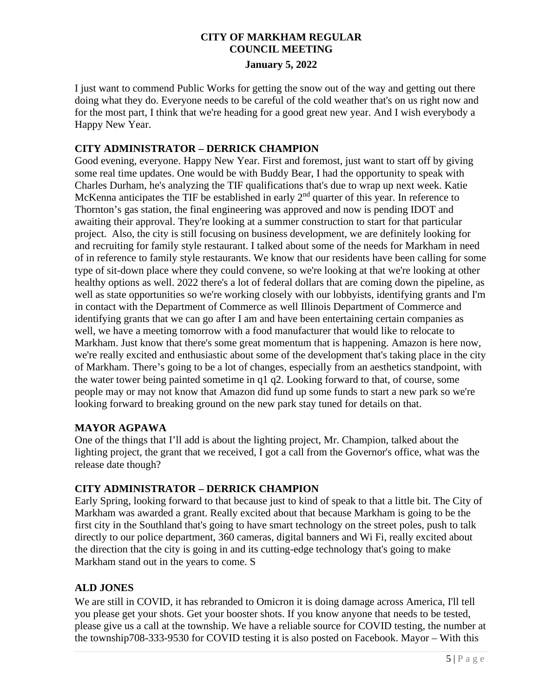# **CITY OF MARKHAM REGULAR COUNCIL MEETING**

**January 5, 2022**

I just want to commend Public Works for getting the snow out of the way and getting out there doing what they do. Everyone needs to be careful of the cold weather that's on us right now and for the most part, I think that we're heading for a good great new year. And I wish everybody a Happy New Year.

## **CITY ADMINISTRATOR – DERRICK CHAMPION**

Good evening, everyone. Happy New Year. First and foremost, just want to start off by giving some real time updates. One would be with Buddy Bear, I had the opportunity to speak with Charles Durham, he's analyzing the TIF qualifications that's due to wrap up next week. Katie McKenna anticipates the TIF be established in early 2<sup>nd</sup> quarter of this year. In reference to Thornton's gas station, the final engineering was approved and now is pending IDOT and awaiting their approval. They're looking at a summer construction to start for that particular project. Also, the city is still focusing on business development, we are definitely looking for and recruiting for family style restaurant. I talked about some of the needs for Markham in need of in reference to family style restaurants. We know that our residents have been calling for some type of sit-down place where they could convene, so we're looking at that we're looking at other healthy options as well. 2022 there's a lot of federal dollars that are coming down the pipeline, as well as state opportunities so we're working closely with our lobbyists, identifying grants and I'm in contact with the Department of Commerce as well Illinois Department of Commerce and identifying grants that we can go after I am and have been entertaining certain companies as well, we have a meeting tomorrow with a food manufacturer that would like to relocate to Markham. Just know that there's some great momentum that is happening. Amazon is here now, we're really excited and enthusiastic about some of the development that's taking place in the city of Markham. There's going to be a lot of changes, especially from an aesthetics standpoint, with the water tower being painted sometime in q1 q2. Looking forward to that, of course, some people may or may not know that Amazon did fund up some funds to start a new park so we're looking forward to breaking ground on the new park stay tuned for details on that.

## **MAYOR AGPAWA**

One of the things that I'll add is about the lighting project, Mr. Champion, talked about the lighting project, the grant that we received, I got a call from the Governor's office, what was the release date though?

## **CITY ADMINISTRATOR – DERRICK CHAMPION**

Early Spring, looking forward to that because just to kind of speak to that a little bit. The City of Markham was awarded a grant. Really excited about that because Markham is going to be the first city in the Southland that's going to have smart technology on the street poles, push to talk directly to our police department, 360 cameras, digital banners and Wi Fi, really excited about the direction that the city is going in and its cutting-edge technology that's going to make Markham stand out in the years to come. S

## **ALD JONES**

We are still in COVID, it has rebranded to Omicron it is doing damage across America, I'll tell you please get your shots. Get your booster shots. If you know anyone that needs to be tested, please give us a call at the township. We have a reliable source for COVID testing, the number at the township708-333-9530 for COVID testing it is also posted on Facebook. Mayor – With this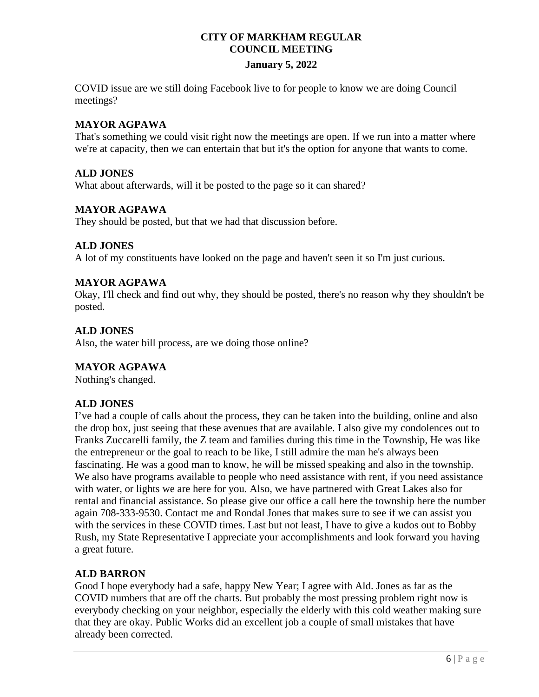# **CITY OF MARKHAM REGULAR COUNCIL MEETING**

## **January 5, 2022**

COVID issue are we still doing Facebook live to for people to know we are doing Council meetings?

### **MAYOR AGPAWA**

That's something we could visit right now the meetings are open. If we run into a matter where we're at capacity, then we can entertain that but it's the option for anyone that wants to come.

## **ALD JONES**

What about afterwards, will it be posted to the page so it can shared?

## **MAYOR AGPAWA**

They should be posted, but that we had that discussion before.

## **ALD JONES**

A lot of my constituents have looked on the page and haven't seen it so I'm just curious.

## **MAYOR AGPAWA**

Okay, I'll check and find out why, they should be posted, there's no reason why they shouldn't be posted.

## **ALD JONES**

Also, the water bill process, are we doing those online?

### **MAYOR AGPAWA**

Nothing's changed.

## **ALD JONES**

I've had a couple of calls about the process, they can be taken into the building, online and also the drop box, just seeing that these avenues that are available. I also give my condolences out to Franks Zuccarelli family, the Z team and families during this time in the Township, He was like the entrepreneur or the goal to reach to be like, I still admire the man he's always been fascinating. He was a good man to know, he will be missed speaking and also in the township. We also have programs available to people who need assistance with rent, if you need assistance with water, or lights we are here for you. Also, we have partnered with Great Lakes also for rental and financial assistance. So please give our office a call here the township here the number again 708-333-9530. Contact me and Rondal Jones that makes sure to see if we can assist you with the services in these COVID times. Last but not least, I have to give a kudos out to Bobby Rush, my State Representative I appreciate your accomplishments and look forward you having a great future.

## **ALD BARRON**

Good I hope everybody had a safe, happy New Year; I agree with Ald. Jones as far as the COVID numbers that are off the charts. But probably the most pressing problem right now is everybody checking on your neighbor, especially the elderly with this cold weather making sure that they are okay. Public Works did an excellent job a couple of small mistakes that have already been corrected.